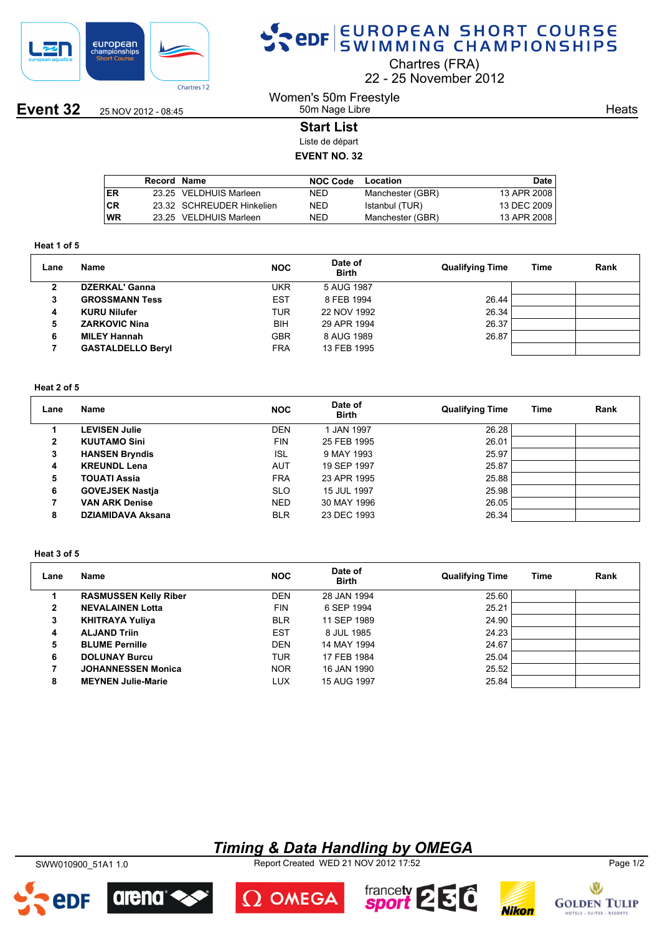

## SPOR EUROPEAN SHORT COURSE

Chartres (FRA)

22 25 November 2012

**Event 32** 25 NOV 2012 - 08:45

### Women's 50m Freestyle 50m Nage Libre

**Heats** 

#### **Start List**

Liste de départ

## **EVENT NO. 32**

|           | Record Name |                           | <b>NOC Code</b> | Location         | <b>Date</b> |
|-----------|-------------|---------------------------|-----------------|------------------|-------------|
| ER        |             | 23.25 VELDHUIS Marleen    | <b>NED</b>      | Manchester (GBR) | 13 APR 2008 |
| <b>CR</b> |             | 23.32 SCHREUDER Hinkelien | <b>NED</b>      | Istanbul (TUR)   | 13 DEC 2009 |
| WR        |             | 23.25 VELDHUIS Marleen    | NED             | Manchester (GBR) | 13 APR 2008 |

#### **Heat 1 of 5**

| Lane | <b>Name</b>              | <b>NOC</b> | Date of<br><b>Birth</b> | <b>Qualifying Time</b> | Time | Rank |
|------|--------------------------|------------|-------------------------|------------------------|------|------|
| ◠    | <b>DZERKAL' Ganna</b>    | <b>UKR</b> | 5 AUG 1987              |                        |      |      |
| 3    | <b>GROSSMANN Tess</b>    | <b>EST</b> | 8 FEB 1994              | 26.44                  |      |      |
| 4    | <b>KURU Nilufer</b>      | TUR        | 22 NOV 1992             | 26.34                  |      |      |
| 5    | <b>ZARKOVIC Nina</b>     | <b>BIH</b> | 29 APR 1994             | 26.37                  |      |      |
| 6    | <b>MILEY Hannah</b>      | <b>GBR</b> | 8 AUG 1989              | 26.87                  |      |      |
|      | <b>GASTALDELLO Beryl</b> | <b>FRA</b> | 13 FEB 1995             |                        |      |      |

#### **Heat 2 of 5**

| Lane | <b>Name</b>              | <b>NOC</b> | Date of<br><b>Birth</b> | <b>Qualifying Time</b> | Time | Rank |
|------|--------------------------|------------|-------------------------|------------------------|------|------|
|      | <b>LEVISEN Julie</b>     | <b>DEN</b> | 1 JAN 1997              | 26.28                  |      |      |
| 2    | <b>KUUTAMO Sini</b>      | <b>FIN</b> | 25 FEB 1995             | 26.01                  |      |      |
| 3    | <b>HANSEN Bryndis</b>    | <b>ISL</b> | 9 MAY 1993              | 25.97                  |      |      |
| 4    | <b>KREUNDL Lena</b>      | <b>AUT</b> | 19 SEP 1997             | 25.87                  |      |      |
| 5    | <b>TOUATI Assia</b>      | <b>FRA</b> | 23 APR 1995             | 25.88                  |      |      |
| 6    | <b>GOVEJSEK Nastia</b>   | <b>SLO</b> | 15 JUL 1997             | 25.98                  |      |      |
|      | <b>VAN ARK Denise</b>    | <b>NED</b> | 30 MAY 1996             | 26.05                  |      |      |
| 8    | <b>DZIAMIDAVA Aksana</b> | <b>BLR</b> | 23 DEC 1993             | 26.34                  |      |      |

#### **Heat 3 of 5**

| Lane | Name                         | <b>NOC</b> | Date of<br><b>Birth</b> | <b>Qualifying Time</b> | Time | Rank |
|------|------------------------------|------------|-------------------------|------------------------|------|------|
|      | <b>RASMUSSEN Kelly Riber</b> | <b>DEN</b> | 28 JAN 1994             | 25.60                  |      |      |
| 2    | <b>NEVALAINEN Lotta</b>      | <b>FIN</b> | 6 SEP 1994              | 25.21                  |      |      |
| 3    | <b>KHITRAYA Yuliya</b>       | <b>BLR</b> | 11 SEP 1989             | 24.90                  |      |      |
| 4    | <b>ALJAND Triin</b>          | <b>EST</b> | 8 JUL 1985              | 24.23                  |      |      |
| 5    | <b>BLUME Pernille</b>        | <b>DEN</b> | 14 MAY 1994             | 24.67                  |      |      |
| 6    | <b>DOLUNAY Burcu</b>         | <b>TUR</b> | 17 FEB 1984             | 25.04                  |      |      |
| 7    | <b>JOHANNESSEN Monica</b>    | <b>NOR</b> | 16 JAN 1990             | 25.52                  |      |      |
| 8    | <b>MEYNEN Julie-Marie</b>    | LUX        | 15 AUG 1997             | 25.84                  |      |      |

## *Timing & Data Handling by OMEGA*

SWW010900\_51A1 1.0 Report Created WED 21 NOV 2012 17:52 Page 1/2



arena

**ADF**